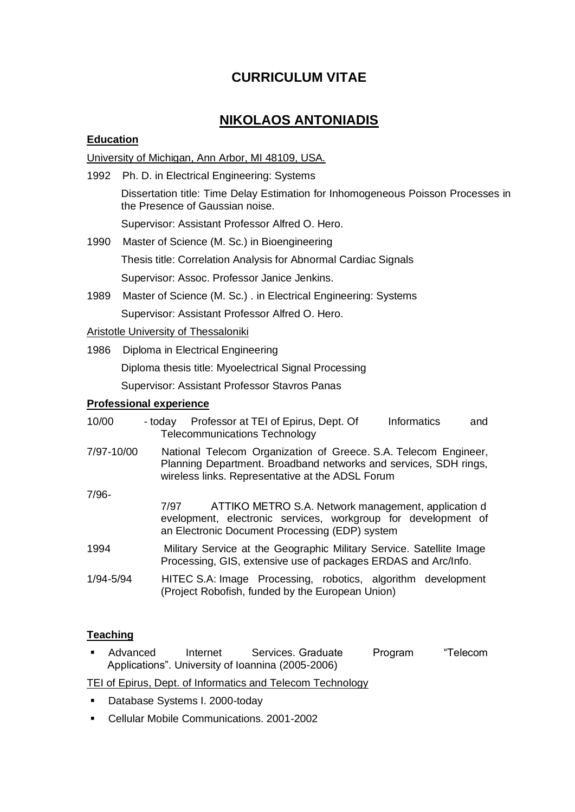# **CURRICULUM VITAE**

## **NIKOLAOS ANTONIADIS**

## **Education**

University of Michigan, Ann Arbor, MI 48109, USA.

1992 Ph. D. in Electrical Engineering: Systems Dissertation title: Time Delay Estimation for Inhomogeneous Poisson Processes in the Presence of Gaussian noise. Supervisor: Assistant Professor Alfred O. Hero. 1990 Master of Science (M. Sc.) in Bioengineering Thesis title: Correlation Analysis for Abnormal Cardiac Signals Supervisor: Assoc. Professor Janice Jenkins. 1989 Master of Science (M. Sc.) . in Electrical Engineering: Systems Supervisor: Assistant Professor Alfred O. Hero. Aristotle University of Thessaloniki 1986 Diploma in Electrical Engineering Diploma thesis title: Myoelectrical Signal Processing Supervisor: Assistant Professor Stavros Panas **Professional experience** 10/00 - today Professor at TEI of Epirus, Dept. Of Informatics and Telecommunications Technology 7/97-10/00 National Telecom Organization of Greece. S.A. Telecom Engineer, Planning Department. Broadband networks and services, SDH rings, wireless links. Representative at the ADSL Forum

7/96-

|           | ATTIKO METRO S.A. Network management, application d<br>7/97<br>evelopment, electronic services, workgroup for development of<br>an Electronic Document Processing (EDP) system |
|-----------|--------------------------------------------------------------------------------------------------------------------------------------------------------------------------------|
| 1994      | Military Service at the Geographic Military Service. Satellite Image<br>Processing, GIS, extensive use of packages ERDAS and Arc/Info.                                         |
| 1/94-5/94 | HITEC S.A: Image Processing, robotics, algorithm development<br>(Project Robofish, funded by the European Union)                                                               |

## **Teaching**

Advanced Internet Services. Graduate Program "Telecom Applications". University of Ioannina (2005-2006)

TEI of Epirus, Dept. of Informatics and Telecom Technology

- Database Systems I. 2000-today
- Cellular Mobile Communications. 2001-2002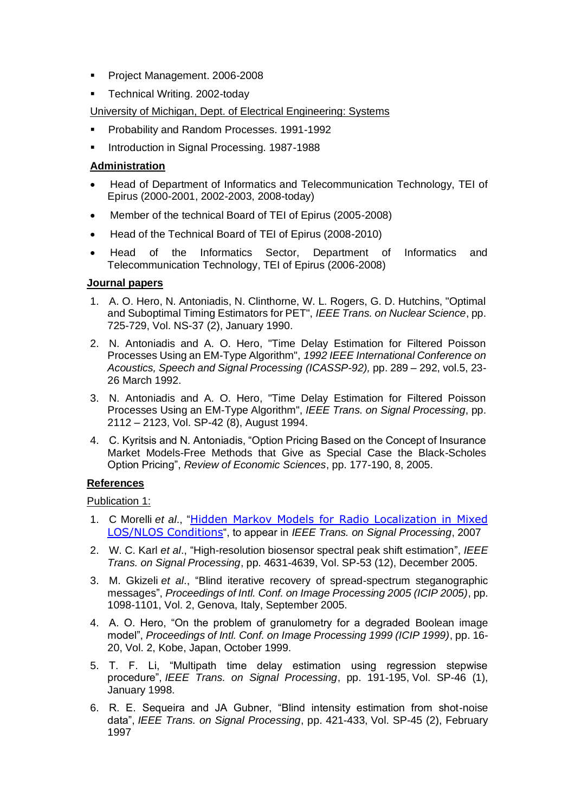- Project Management. 2006-2008
- Technical Writing. 2002-today

University of Michigan, Dept. of Electrical Engineering: Systems

- Probability and Random Processes. 1991-1992
- Introduction in Signal Processing. 1987-1988

#### **Administration**

- Head of Department of Informatics and Telecommunication Technology, TEI of Epirus (2000-2001, 2002-2003, 2008-today)
- Member of the technical Board of TEI of Epirus (2005-2008)
- Head of the Technical Board of TEI of Epirus (2008-2010)
- Head of the Informatics Sector, Department of Informatics and Telecommunication Technology, TEI of Epirus (2006-2008)

#### **Journal papers**

- 1. A. O. Hero, N. Antoniadis, N. Clinthorne, W. L. Rogers, G. D. Hutchins, "Optimal and Suboptimal Timing Estimators for PET", *IEEE Trans. on Nuclear Science*, pp. 725-729, Vol. NS-37 (2), January 1990.
- 2. N. Antoniadis and A. O. Hero, "Time Delay Estimation for Filtered Poisson Processes Using an EM-Type Algorithm", *1992 IEEE International Conference on Acoustics, Speech and Signal Processing (ICASSP-92),* pp. 289 – 292, vol.5, 23- 26 March 1992.
- 3. N. Antoniadis and A. O. Hero, "Time Delay Estimation for Filtered Poisson Processes Using an EM-Type Algorithm", *IEEE Trans. on Signal Processing*, pp. 2112 – 2123, Vol. SP-42 (8), August 1994.
- 4. C. Kyritsis and N. Antoniadis, "Option Pricing Based on the Concept of Insurance Market Models-Free Methods that Give as Special Case the Black-Scholes Option Pricing", *Review of Economic Sciences*, pp. 177-190, 8, 2005.

#### **References**

Publication 1:

- 1. C Morelli *et al*., "[Hidden Markov Models for Radio Localization in Mixed](http://www.elet.polimi.it/upload/nicoli/publications/2006_TSP.pdf)  [LOS/NLOS Conditions](http://www.elet.polimi.it/upload/nicoli/publications/2006_TSP.pdf)", to appear in *IEEE Trans. on Signal Processing*, 2007
- 2. W. C. Karl *et al*., "High-resolution biosensor spectral peak shift estimation", *IEEE Trans. on Signal Processing*, pp. 4631-4639, Vol. SP-53 (12), December 2005.
- 3. M. Gkizeli *et al*., "Blind iterative recovery of spread-spectrum steganographic messages", *Proceedings of Intl. Conf. on Image Processing 2005 (ICIP 2005)*, pp. 1098-1101, Vol. 2, Genova, Italy, September 2005.
- 4. A. O. Hero, "On the problem of granulometry for a degraded Boolean image model", *Proceedings of Intl. Conf. on Image Processing 1999 (ICIP 1999)*, pp. 16- 20, Vol. 2, Kobe, Japan, October 1999.
- 5. T. F. Li, "Multipath time delay estimation using regression stepwise procedure", *IEEE Trans. on Signal Processing*, pp. 191-195, Vol. SP-46 (1), January 1998.
- 6. R. E. Sequeira and JA Gubner, "Blind intensity estimation from shot-noise data", *IEEE Trans. on Signal Processing*, pp. 421-433, Vol. SP-45 (2), February 1997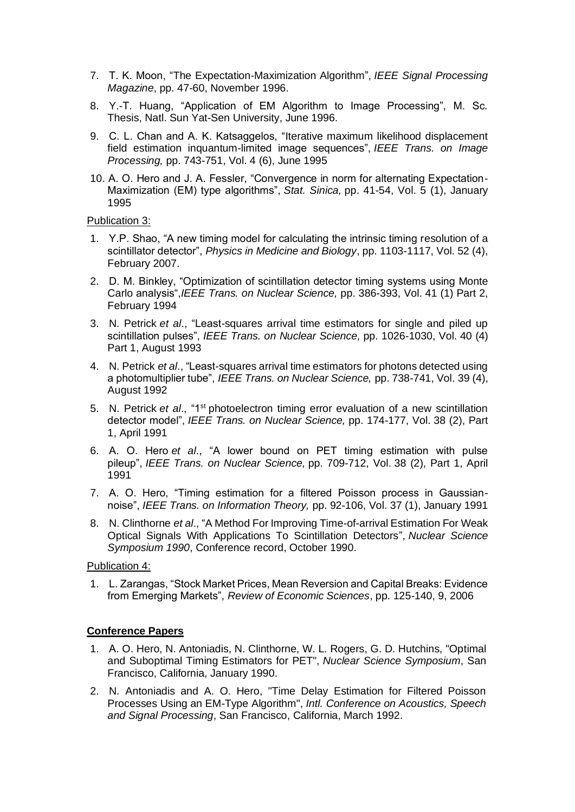- 7. T. K. Moon, "The Expectation-Maximization Algorithm", *IEEE Signal Processing Magazine*, pp. 47-60, November 1996.
- 8. Y.-T. Huang, "Application of EM Algorithm to Image Processing", M. Sc. Thesis, Natl. Sun Yat-Sen University, June 1996.
- 9. C. L. Chan and A. K. Katsaggelos, "Iterative maximum likelihood displacement field estimation inquantum-limited image sequences", *IEEE Trans. on Image Processing,* pp. 743-751, Vol. 4 (6), June 1995
- 10. Α. O. Hero and J. A. Fessler, "Convergence in norm for alternating Expectation-Maximization (EM) type algorithms", *Stat. Sinica,* pp. 41-54, Vol. 5 (1), January 1995

Publication 3:

- 1. Y.P. Shao, "A new timing model for calculating the intrinsic timing resolution of a scintillator detector", *Physics in Medicine and Biology*, pp. 1103-1117, Vol. 52 (4), February 2007.
- 2. D. M. Binkley, "Optimization of scintillation detector timing systems using Monte Carlo analysis",*IEEE Trans. on Nuclear Science,* pp. 386-393, Vol. 41 (1) Part 2, February 1994
- 3. N. Petrick *et al*., "Least-squares arrival time estimators for single and piled up scintillation pulses", *IEEE Trans. on Nuclear Science,* pp. 1026-1030, Vol. 40 (4) Part 1, August 1993
- 4. N. Petrick *et al*., "Least-squares arrival time estimators for photons detected using a photomultiplier tube", *IEEE Trans. on Nuclear Science,* pp. 738-741, Vol. 39 (4), August 1992
- 5. N. Petrick *et al*., "1st photoelectron timing error evaluation of a new scintillation detector model", *IEEE Trans. on Nuclear Science,* pp. 174-177, Vol. 38 (2), Part 1, April 1991
- 6. Α. O. Hero *et al*., "A lower bound on PET timing estimation with pulse pileup", *IEEE Trans. on Nuclear Science,* pp. 709-712, Vol. 38 (2), Part 1, April 1991
- 7. Α. O. Hero, "Timing estimation for a filtered Poisson process in Gaussiannoise", *IEEE Trans. on Information Theory,* pp. 92-106, Vol. 37 (1), January 1991
- 8. N. Clinthorne *et al*., "A Method For Improving Time-of-arrival Estimation For Weak Optical Signals With Applications To Scintillation Detectors", *Nuclear Science Symposium 1990*, Conference record, October 1990.

Publication 4:

1. L. Zarangas, "Stock Market Prices, Mean Reversion and Capital Breaks: Evidence from Emerging Markets", *Review of Economic Sciences*, pp. 125-140, 9, 2006

#### **Conference Papers**

- 1. Α. O. Hero, N. Antoniadis, N. Clinthorne, W. L. Rogers, G. D. Hutchins, "Optimal and Suboptimal Timing Estimators for PET", *Nuclear Science Symposium*, San Francisco, California, January 1990.
- 2. N. Antoniadis and A. O. Hero, "Time Delay Estimation for Filtered Poisson Processes Using an EM-Type Algorithm", *Intl. Conference on Acoustics, Speech and Signal Processing*, San Francisco, California, March 1992.